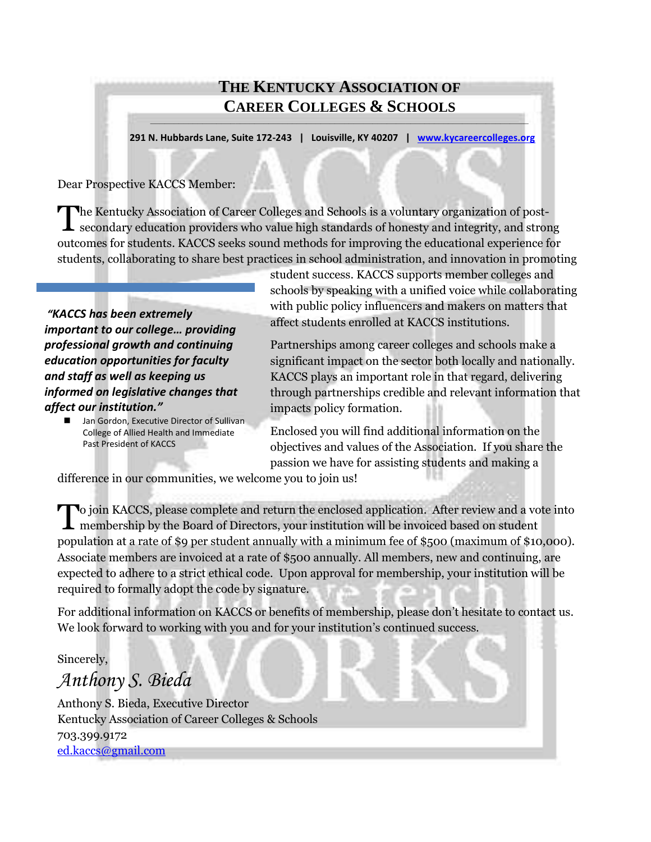## **THE KENTUCKY ASSOCIATION OF CAREER COLLEGES & SCHOOLS**

**\_\_\_\_\_\_\_\_\_\_\_\_\_\_\_\_\_\_\_\_\_\_\_\_\_\_\_\_\_\_\_\_\_\_\_\_\_\_\_\_\_\_\_\_\_\_\_\_\_\_\_\_\_\_\_\_\_\_\_\_\_\_\_\_\_\_\_\_\_\_\_\_\_\_\_\_\_\_\_\_**

 **291 N. Hubbards Lane, Suite 172-243 | Louisville, KY 40207 | [www.kycareercolleges.org](http://www.kycareercolleges.org/)**

Dear Prospective KACCS Member:

The Kentucky Association of Career Colleges and Schools is a voluntary organization of post-<br>secondary education providers who value high standards of honesty and integrity, and strou **L** secondary education providers who value high standards of honesty and integrity, and strong outcomes for students. KACCS seeks sound methods for improving the educational experience for students, collaborating to share best practices in school administration, and innovation in promoting

*"KACCS has been extremely important to our college… providing professional growth and continuing education opportunities for faculty and staff as well as keeping us informed on legislative changes that affect our institution."* 

> Jan Gordon, Executive Director of Sullivan College of Allied Health and Immediate Past President of KACCS

student success. KACCS supports member colleges and schools by speaking with a unified voice while collaborating with public policy influencers and makers on matters that affect students enrolled at KACCS institutions.

Partnerships among career colleges and schools make a significant impact on the sector both locally and nationally. KACCS plays an important role in that regard, delivering through partnerships credible and relevant information that impacts policy formation.

Enclosed you will find additional information on the objectives and values of the Association. If you share the passion we have for assisting students and making a

difference in our communities, we welcome you to join us!

To join KACCS, please complete and return the enclosed application. After review and a vote into membership by the Board of Directors, your institution will be invoiced based on student membership by the Board of Directors, your institution will be invoiced based on student population at a rate of \$9 per student annually with a minimum fee of \$500 (maximum of \$10,000). Associate members are invoiced at a rate of \$500 annually. All members, new and continuing, are expected to adhere to a strict ethical code. Upon approval for membership, your institution will be required to formally adopt the code by signature.

For additional information on KACCS or benefits of membership, please don't hesitate to contact us. We look forward to working with you and for your institution's continued success.

Sincerely,

*Anthony S. Bieda*

Anthony S. Bieda, Executive Director Kentucky Association of Career Colleges & Schools 703.399.9172 [ed.kaccs@gmail.com](mailto:ed.kaccs@gmail.com)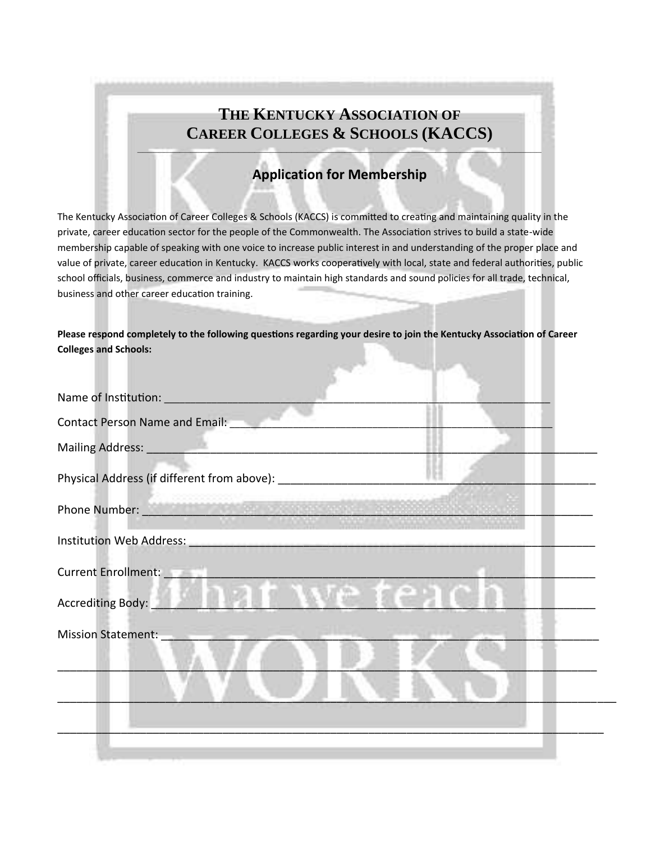## **THE KENTUCKY ASSOCIATION OF CAREER COLLEGES & SCHOOLS (KACCS)**

## **Application for Membership**

**\_\_\_\_\_\_\_\_\_\_\_\_\_\_\_\_\_\_\_\_\_\_\_\_\_\_\_\_\_\_\_\_\_\_\_\_\_\_\_\_\_\_\_\_\_\_\_\_\_\_\_\_\_\_\_\_\_\_\_\_\_\_\_\_\_\_\_\_\_\_\_\_\_\_\_\_**

The Kentucky Association of Career Colleges & Schools (KACCS) is committed to creating and maintaining quality in the private, career education sector for the people of the Commonwealth. The Association strives to build a state-wide membership capable of speaking with one voice to increase public interest in and understanding of the proper place and value of private, career education in Kentucky. KACCS works cooperatively with local, state and federal authorities, public school officials, business, commerce and industry to maintain high standards and sound policies for all trade, technical, business and other career education training.

**Please respond completely to the following questions regarding your desire to join the Kentucky Association of Career Colleges and Schools:**

| Name of Institution: _________________                                                                        |  |
|---------------------------------------------------------------------------------------------------------------|--|
| Contact Person Name and Email: ____                                                                           |  |
|                                                                                                               |  |
|                                                                                                               |  |
| Phone Number: 1999 Manual Manual Manual Manual Manual Manual Manual Manual Manual Manual Manual Manual Manual |  |
| Institution Web Address: Management Control of the Address:                                                   |  |
| Current Enrollment: New York 1999                                                                             |  |
| Accrediting Body:                                                                                             |  |
| <b>Mission Statement:</b>                                                                                     |  |
|                                                                                                               |  |
|                                                                                                               |  |
|                                                                                                               |  |
|                                                                                                               |  |
|                                                                                                               |  |